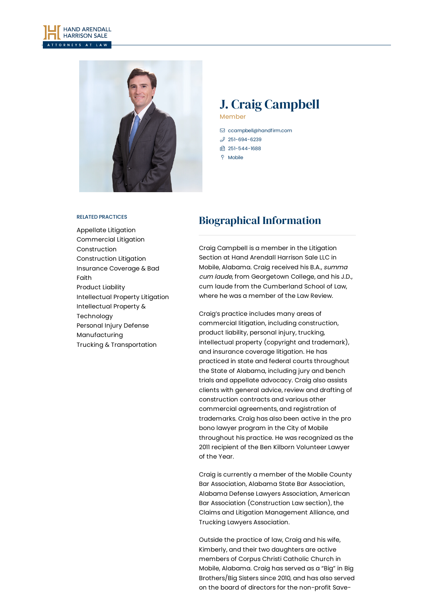



## J. Craig Campbell Member

 [ccampbell@handfirm.com](mailto:ccampbell@handfirm.com)  $$251-694-6239$  $$251-694-6239$ □ 251-544-1688

Mobile

#### RELATED PRACTICES

[Appellate](https://www.handfirm.com/practices/litigation/appellate-litigation/) Litigation [Commercial](https://www.handfirm.com/practices/litigation/commercial-litigation/) Litigation [Construction](https://www.handfirm.com/practices/industries/construction/) [Construction](https://www.handfirm.com/practices/litigation/construction-litigation/) Litigation [Insurance](https://www.handfirm.com/practices/litigation/insurance-coverage-bad-faith/) Coverage & Bad Faith [Product](https://www.handfirm.com/practices/litigation/product-liability/) Liability [Intellectual](https://www.handfirm.com/practices/litigation/intellectual-property-litigation/) Property Litigation Intellectual Property & [Technology](https://www.handfirm.com/practices/business-services/intellectual-property-technology/) [Personal](https://www.handfirm.com/practices/litigation/personal-injury-defense/) Injury Defense [Manufacturing](https://www.handfirm.com/practices/industries/manufacturing/) Trucking & [Transportation](https://www.handfirm.com/practices/industries/trucking-transportation/)

# Biographical Information

Craig Campbell is a member in the Litigation Section at Hand Arendall Harrison Sale LLC in Mobile, Alabama. Craig received his B.A., summa cum laude, from Georgetown College, and his J.D., cum laude from the Cumberland School of Law, where he was a member of the Law Review.

Craig's practice includes many areas of commercial litigation, including construction, product liability, personal injury, trucking, intellectual property (copyright and trademark), and insurance coverage litigation. He has practiced in state and federal courts throughout the State of Alabama, including jury and bench trials and appellate advocacy. Craig also assists clients with general advice, review and drafting of construction contracts and various other commercial agreements, and registration of trademarks. Craig has also been active in the pro bono lawyer program in the City of Mobile throughout his practice. He was recognized as the 2011 recipient of the Ben Kilborn Volunteer Lawyer of the Year.

Craig is currently a member of the Mobile County Bar Association, Alabama State Bar Association, Alabama Defense Lawyers Association, American Bar Association (Construction Law section), the Claims and Litigation Management Alliance, and Trucking Lawyers Association.

Outside the practice of law, Craig and his wife, Kimberly, and their two daughters are active members of Corpus Christi Catholic Church in Mobile, Alabama. Craig has served as a "Big" in Big Brothers/Big Sisters since 2010, and has also served on the board of directors for the non-profit Save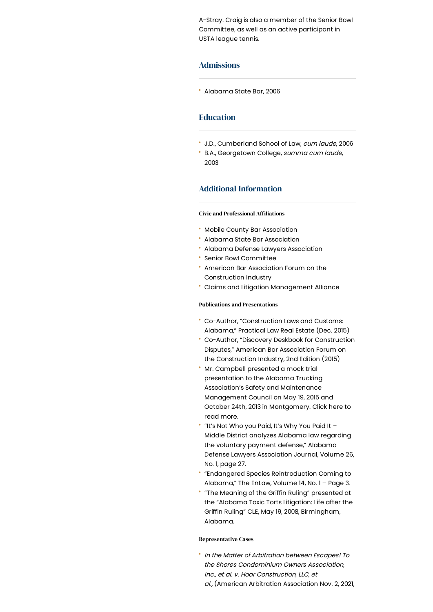A-Stray. Craig is also a member of the Senior Bowl Committee, as well as an active participant in USTA league tennis.

### Admissions

Alabama State Bar, 2006

### Education

- J.D., Cumberland School of Law, cum laude, 2006
- B.A., Georgetown College, summa cum laude, 2003

## Additional Information

**Civic and Professional Affiliations** 

- Mobile County Bar Association
- Alabama State Bar Association
- Alabama Defense Lawyers Association
- **\*** Senior Bowl Committee
- American Bar Association Forum on the Construction Industry
- Claims and Litigation Management Alliance

#### Publications and Presentations

- Co-Author, "Construction Laws and Customs: Alabama," Practical Law Real Estate (Dec. 2015)
- Co-Author, "Discovery Deskbook for Construction Disputes," American Bar Association Forum on the Construction Industry, 2nd Edition (2015)
- Mr. Campbell presented a mock trial presentation to the Alabama Trucking Association's Safety and Maintenance Management Council on May 19, 2015 and October 24th, 2013 in Montgomery. Click here to read more.
- " "It's Not Who you Paid, It's Why You Paid It -Middle District analyzes Alabama law regarding the voluntary payment defense," Alabama Defense Lawyers Association Journal, Volume 26, No. 1, page 27.
- "Endangered Species Reintroduction Coming to Alabama," The EnLaw, Volume 14, No. 1 – Page 3.
- "The Meaning of the Griffin Ruling" presented at the "Alabama Toxic Torts Litigation: Life after the Griffin Ruling" CLE, May 19, 2008, Birmingham, Alabama.

#### Representative Cases

 $\cdot$  In the Matter of Arbitration between Escapes! To the Shores Condominium Owners Association, Inc., et al. v. Hoar Construction, LLC, et al., (American Arbitration Association Nov. 2, 2021,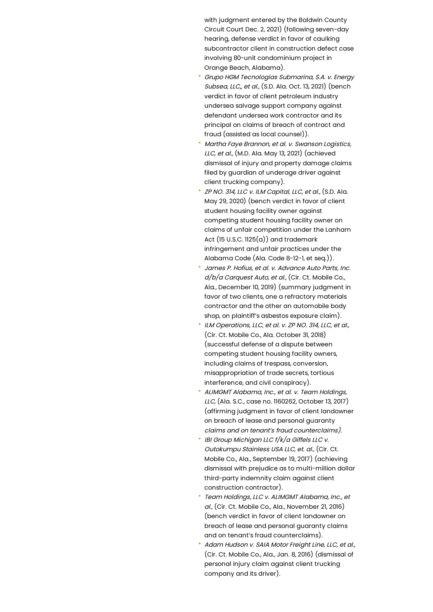with judgment entered by the Baldwin County Circuit Court Dec. 2, 2021) (following seven-day hearing, defense verdict in favor of caulking subcontractor client in construction defect case involving 80-unit condominium project in Orange Beach, Alabama).

- Grupo HGM Tecnologias Submarina, S.A. v. Energy Subsea, LLC,, et al., (S.D. Ala. Oct. 13, 2021) (bench verdict in favor of client petroleum industry undersea salvage support company against defendant undersea work contractor and its principal on claims of breach of contract and fraud (assisted as local counsel)).
- Martha Faye Brannon, et al. v. Swanson Logistics, LLC, et al., (M.D. Ala. May 13, 2021) (achieved dismissal of injury and property damage claims filed by guardian of underage driver against client trucking company).
- ZP NO. 314, LLC v. ILM Capital, LLC, et al., (S.D. Ala. May 29, 2020) (bench verdict in favor of client student housing facility owner against competing student housing facility owner on claims of unfair competition under the Lanham Act  $(15 U.S.C. 1125(a))$  and trademark infringement and unfair practices under the Alabama Code (Ala. Code 8-12-1, et seq.)).
- James P. Hofius, et al. v. Advance Auto Parts, Inc. d/b/a Carauest Auto, et al., (Cir. Ct. Mobile Co., Ala., December 10, 2019) (summary judgment in favor of two clients, one a refractory materials contractor and the other an automobile body shop, on plaintiff's asbestos exposure claim).
- ILM Operations, LLC, et al. v. ZP NO. 314, LLC, et al., (Cir. Ct. Mobile Co., Ala. October 31, 2018) (successful defense of a dispute between competing student housing facility owners, including claims of trespass, conversion, misappropriation of trade secrets, tortious interference, and civil conspiracy).
- ALIMGMT Alabama, Inc., et al. v. Team Holdings, LLC, (Ala. S.C., case no. 1160262, October 13, 2017) (affirming judgment in favor of client landowner on breach of lease and personal guaranty claims and on tenant's fraud counterclaims).
- IBI Group Michigan LLC f/k/a Giffels LLC v. Outokumpu Stainless USA LLC, et. al., (Cir. Ct. Mobile Co., Ala., September 19, 2017) (achieving dismissal with prejudice as to multi-million dollar third-party indemnity claim against client construction contractor).
- Team Holdings, LLC v. ALIMGMT Alabama, Inc., et al., (Cir. Ct. Mobile Co., Ala., November 21, 2016) (bench verdict in favor of client landowner on breach of lease and personal guaranty claims and on tenant's fraud counterclaims).
- Adam Hudson v. SAIA Motor Freight Line, LLC, et al., (Cir. Ct. Mobile Co., Ala., Jan. 8, 2016) (dismissal of personal injury claim against client trucking company and its driver).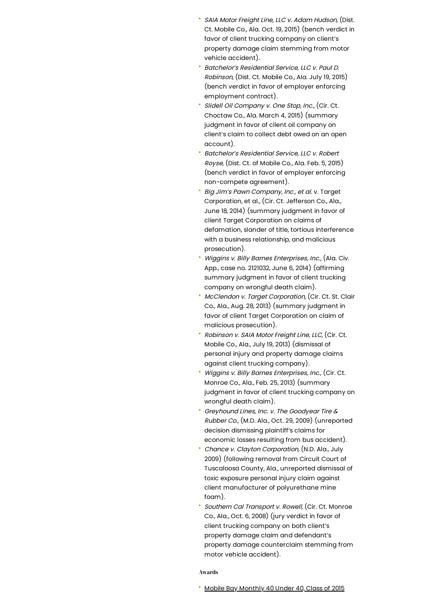- SAIA Motor Freight Line, LLC v. Adam Hudson, (Dist. Ct. Mobile Co., Ala. Oct. 19, 2015) (bench verdict in favor of client trucking company on client's property damage claim stemming from motor vehicle accident).
- Batchelor's Residential Service, LLC v. Paul D. Robinson, (Dist. Ct. Mobile Co., Ala. July 19, 2015) (bench verdict in favor of employer enforcing employment contract).
- Slidell Oil Company v. One Stop, Inc., (Cir. Ct. Choctaw Co., Ala. March 4, 2015) (summary judgment in favor of client oil company on client's claim to collect debt owed on an open account).
- Batchelor's Residential Service, LLC v. Robert Royse, (Dist. Ct. of Mobile Co., Ala. Feb. 5, 2015) (bench verdict in favor of employer enforcing non-compete agreement).
- Big Jim's Pawn Company, Inc., et al. v. Target Corporation, et al., (Cir. Ct. Jefferson Co., Ala., June 18, 2014) (summary judgment in favor of client Target Corporation on claims of defamation, slander of title, tortious interference with a business relationship, and malicious prosecution).
- Wiggins v. Billy Barnes Enterprises, Inc., (Ala. Civ. App., case no. 2121032, June 6, 2014) (affirming summary judament in favor of client trucking company on wrongful death claim).
- McClendon v. Target Corporation, (Cir. Ct. St. Clair Co., Ala., Aug. 28, 2013) (summary judgment in favor of client Target Corporation on claim of malicious prosecution).
- Robinson v. SAIA Motor Freight Line, LLC, (Cir. Ct. Mobile Co., Ala., July 19, 2013) (dismissal of personal injury and property damage claims against client trucking company).
- Wiggins v. Billy Barnes Enterprises, Inc., (Cir. Ct. Monroe Co., Ala., Feb. 25, 2013) (summary judgment in favor of client trucking company on wrongful death claim).
- Greyhound Lines, Inc. v. The Goodyear Tire & Rubber Co., (M.D. Ala., Oct. 29, 2009) (unreported decision dismissing plaintiff's claims for economic losses resulting from bus accident).
- Chance v. Clayton Corporation, (N.D. Ala., July 2009) (following removal from Circuit Court of Tuscaloosa County, Ala., unreported dismissal of toxic exposure personal injury claim against client manufacturer of polyurethane mine foam).
- Southern Cal Transport v. Rowell, (Cir. Ct. Monroe Co., Ala., Oct. 6, 2008) (jury verdict in favor of client trucking company on both client's property damage claim and defendant's property damage counterclaim stemming from motor vehicle accident).

Awards

Mobile Bay [Monthly](https://mobilebaymag.com/mobile-bays-2015-class-of-40-under-forty/) 40 Under 40, Class of 2015